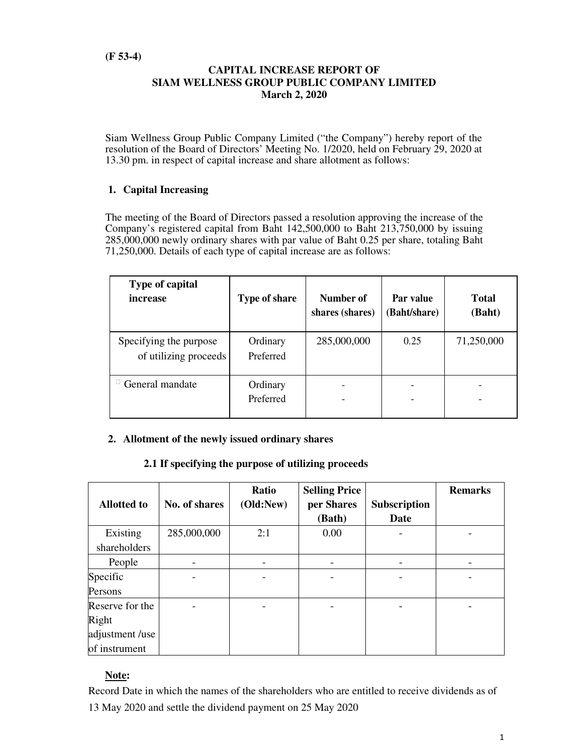## **CAPITAL INCREASE REPORT OF SIAM WELLNESS GROUP PUBLIC COMPANY LIMITED March 2, 2020**

Siam Wellness Group Public Company Limited ("the Company") hereby report of the resolution of the Board of Directors' Meeting No. 1/2020, held on February 29, 2020 at 13.30 pm. in respect of capital increase and share allotment as follows:

# **1. Capital Increasing**

The meeting of the Board of Directors passed a resolution approving the increase of the Company's registered capital from Baht 142,500,000 to Baht 213,750,000 by issuing 285,000,000 newly ordinary shares with par value of Baht 0.25 per share, totaling Baht 71,250,000. Details of each type of capital increase are as follows:

| Type of capital<br>increase                     | <b>Type of share</b>  | Number of<br>shares (shares) | Par value<br>(Baht/share) | <b>Total</b><br>(Baht) |
|-------------------------------------------------|-----------------------|------------------------------|---------------------------|------------------------|
| Specifying the purpose<br>of utilizing proceeds | Ordinary<br>Preferred | 285,000,000                  | 0.25                      | 71,250,000             |
| General mandate                                 | Ordinary<br>Preferred |                              |                           |                        |

# **2. Allotment of the newly issued ordinary shares**

#### **2.1 If specifying the purpose of utilizing proceeds**

|                    |               | Ratio     | <b>Selling Price</b> |                     | <b>Remarks</b> |
|--------------------|---------------|-----------|----------------------|---------------------|----------------|
| <b>Allotted to</b> | No. of shares | (Old:New) | per Shares           | <b>Subscription</b> |                |
|                    |               |           | (Bath)               | <b>Date</b>         |                |
| Existing           | 285,000,000   | 2:1       | 0.00                 |                     |                |
| shareholders       |               |           |                      |                     |                |
| People             |               |           |                      |                     |                |
| Specific           |               |           |                      |                     |                |
| Persons            |               |           |                      |                     |                |
| Reserve for the    |               |           |                      |                     |                |
| Right              |               |           |                      |                     |                |
| adjustment /use    |               |           |                      |                     |                |
| of instrument      |               |           |                      |                     |                |

# **Note:**

Record Date in which the names of the shareholders who are entitled to receive dividends as of 13 May 2020 and settle the dividend payment on 25 May 2020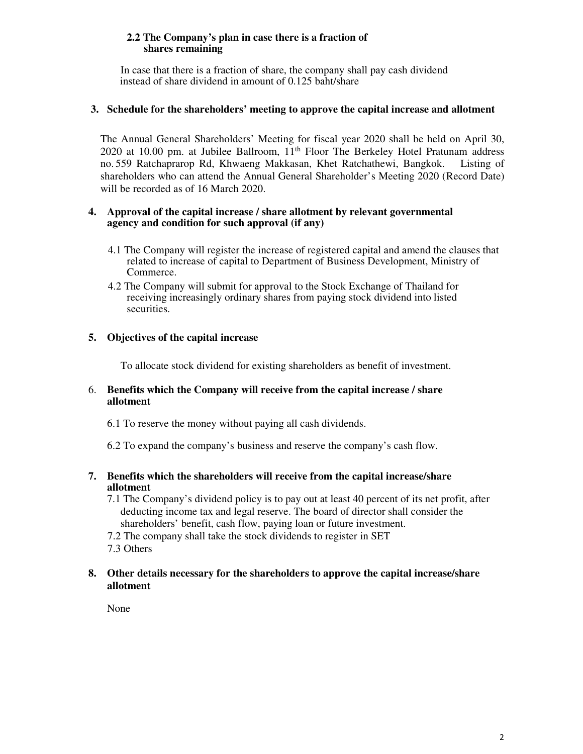### **2.2 The Company's plan in case there is a fraction of shares remaining**

 In case that there is a fraction of share, the company shall pay cash dividend instead of share dividend in amount of 0.125 baht/share

## **3. Schedule for the shareholders' meeting to approve the capital increase and allotment**

The Annual General Shareholders' Meeting for fiscal year 2020 shall be held on April 30, 2020 at 10.00 pm. at Jubilee Ballroom, 11<sup>th</sup> Floor The Berkeley Hotel Pratunam address no. 559 Ratchaprarop Rd, Khwaeng Makkasan, Khet Ratchathewi, Bangkok. Listing of shareholders who can attend the Annual General Shareholder's Meeting 2020 (Record Date) will be recorded as of 16 March 2020.

### **4. Approval of the capital increase / share allotment by relevant governmental agency and condition for such approval (if any)**

- 4.1 The Company will register the increase of registered capital and amend the clauses that related to increase of capital to Department of Business Development, Ministry of Commerce.
- 4.2 The Company will submit for approval to the Stock Exchange of Thailand for receiving increasingly ordinary shares from paying stock dividend into listed securities.

# **5. Objectives of the capital increase**

To allocate stock dividend for existing shareholders as benefit of investment.

#### 6. **Benefits which the Company will receive from the capital increase / share allotment**

6.1 To reserve the money without paying all cash dividends.

6.2 To expand the company's business and reserve the company's cash flow.

## **7. Benefits which the shareholders will receive from the capital increase/share allotment**

- 7.1 The Company's dividend policy is to pay out at least 40 percent of its net profit, after deducting income tax and legal reserve. The board of director shall consider the shareholders' benefit, cash flow, paying loan or future investment.
- 7.2 The company shall take the stock dividends to register in SET
- 7.3 Others

## **8. Other details necessary for the shareholders to approve the capital increase/share allotment**

None